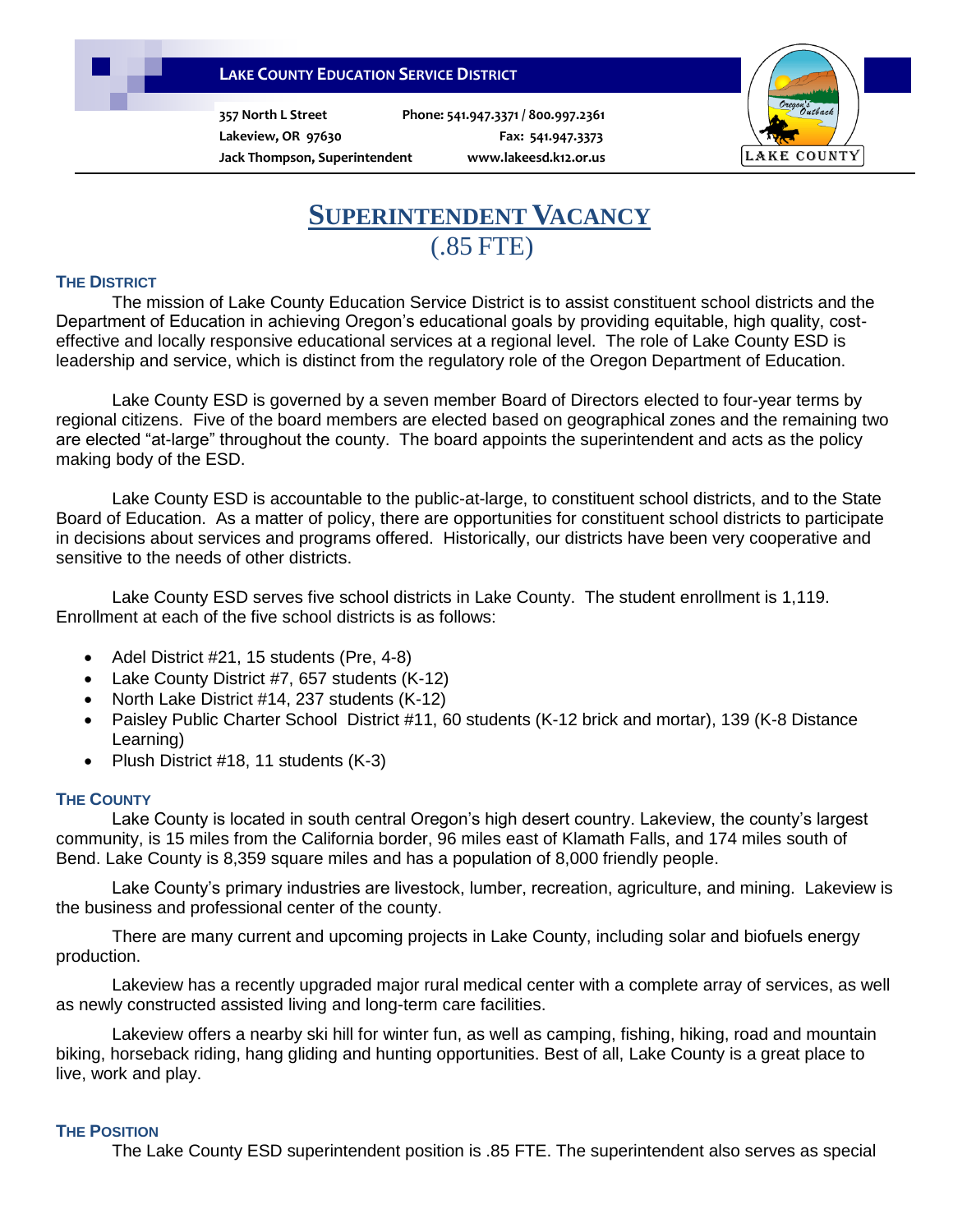## **LAKE COUNTY EDUCATION SERVICE DISTRICT**

**357 North L Street Phone: 541.947.3371 / 800.997.2361**

**Lakeview, OR 97630 Fax: 541.947.3373 Jack Thompson, Superintendent www.lakeesd.k12.or.us**



# **SUPERINTENDENT VACANCY** (.85 FTE)

#### **THE DISTRICT**

The mission of Lake County Education Service District is to assist constituent school districts and the Department of Education in achieving Oregon's educational goals by providing equitable, high quality, costeffective and locally responsive educational services at a regional level. The role of Lake County ESD is leadership and service, which is distinct from the regulatory role of the Oregon Department of Education.

Lake County ESD is governed by a seven member Board of Directors elected to four-year terms by regional citizens. Five of the board members are elected based on geographical zones and the remaining two are elected "at-large" throughout the county. The board appoints the superintendent and acts as the policy making body of the ESD.

Lake County ESD is accountable to the public-at-large, to constituent school districts, and to the State Board of Education. As a matter of policy, there are opportunities for constituent school districts to participate in decisions about services and programs offered. Historically, our districts have been very cooperative and sensitive to the needs of other districts.

Lake County ESD serves five school districts in Lake County. The student enrollment is 1,119. Enrollment at each of the five school districts is as follows:

- Adel District #21, 15 students (Pre, 4-8)
- Lake County District #7, 657 students (K-12)
- North Lake District #14, 237 students (K-12)
- Paisley Public Charter School District #11, 60 students (K-12 brick and mortar), 139 (K-8 Distance Learning)
- Plush District #18, 11 students (K-3)

#### **THE COUNTY**

Lake County is located in south central Oregon's high desert country. Lakeview, the county's largest community, is 15 miles from the California border, 96 miles east of Klamath Falls, and 174 miles south of Bend. Lake County is 8,359 square miles and has a population of 8,000 friendly people.

Lake County's primary industries are livestock, lumber, recreation, agriculture, and mining. Lakeview is the business and professional center of the county.

 There are many current and upcoming projects in Lake County, including solar and biofuels energy production.

 Lakeview has a recently upgraded major rural medical center with a complete array of services, as well as newly constructed assisted living and long-term care facilities.

 Lakeview offers a nearby ski hill for winter fun, as well as camping, fishing, hiking, road and mountain biking, horseback riding, hang gliding and hunting opportunities. Best of all, Lake County is a great place to live, work and play.

#### **THE POSITION**

The Lake County ESD superintendent position is .85 FTE. The superintendent also serves as special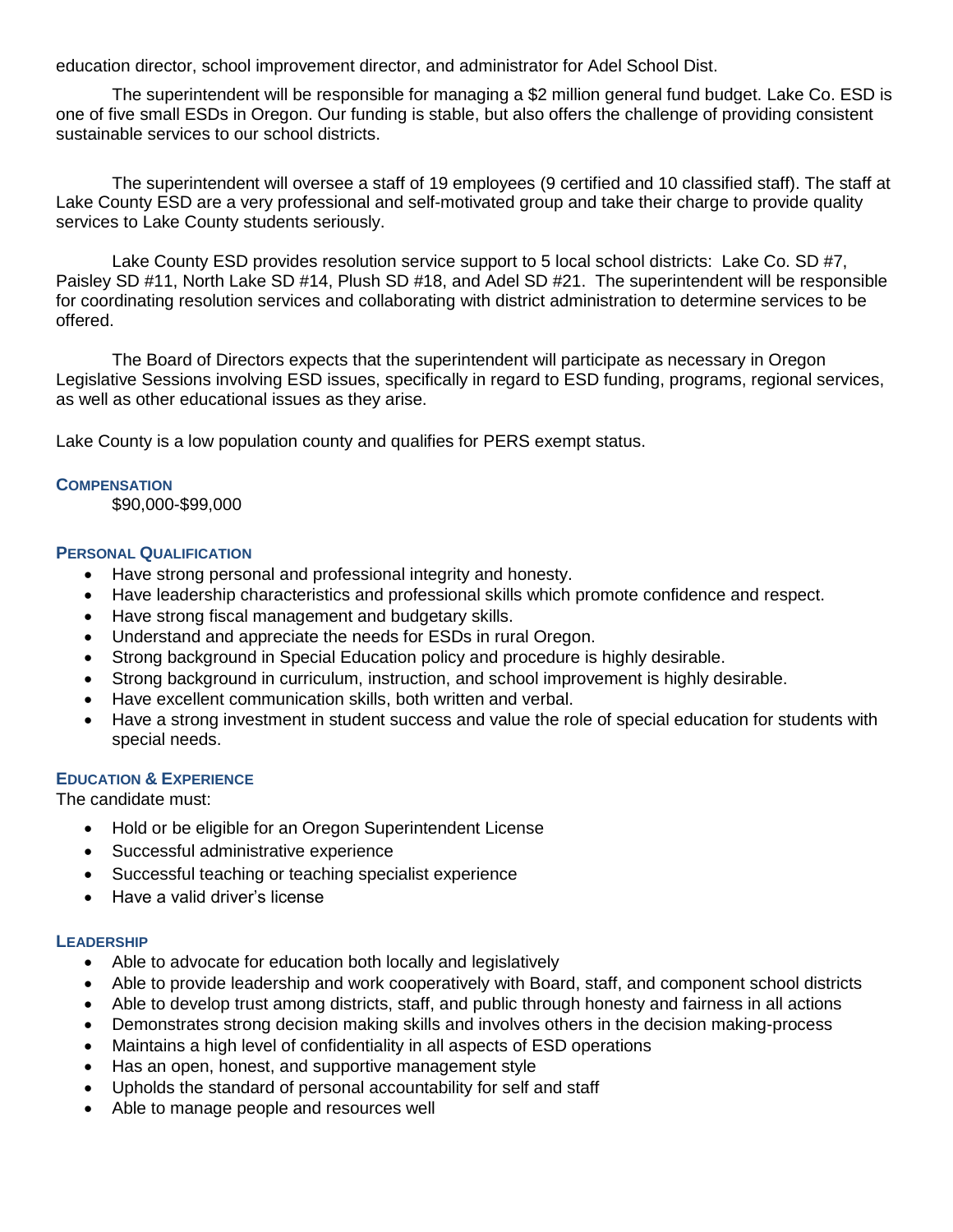education director, school improvement director, and administrator for Adel School Dist.

The superintendent will be responsible for managing a \$2 million general fund budget. Lake Co. ESD is one of five small ESDs in Oregon. Our funding is stable, but also offers the challenge of providing consistent sustainable services to our school districts.

The superintendent will oversee a staff of 19 employees (9 certified and 10 classified staff). The staff at Lake County ESD are a very professional and self-motivated group and take their charge to provide quality services to Lake County students seriously.

Lake County ESD provides resolution service support to 5 local school districts: Lake Co. SD #7, Paisley SD #11, North Lake SD #14, Plush SD #18, and Adel SD #21. The superintendent will be responsible for coordinating resolution services and collaborating with district administration to determine services to be offered.

 The Board of Directors expects that the superintendent will participate as necessary in Oregon Legislative Sessions involving ESD issues, specifically in regard to ESD funding, programs, regional services, as well as other educational issues as they arise.

Lake County is a low population county and qualifies for PERS exempt status.

#### **COMPENSATION**

\$90,000-\$99,000

#### **PERSONAL QUALIFICATION**

- Have strong personal and professional integrity and honesty.
- Have leadership characteristics and professional skills which promote confidence and respect.
- Have strong fiscal management and budgetary skills.
- Understand and appreciate the needs for ESDs in rural Oregon.
- Strong background in Special Education policy and procedure is highly desirable.
- Strong background in curriculum, instruction, and school improvement is highly desirable.
- Have excellent communication skills, both written and verbal.
- Have a strong investment in student success and value the role of special education for students with special needs.

### **EDUCATION & EXPERIENCE**

The candidate must:

- Hold or be eligible for an Oregon Superintendent License
- Successful administrative experience
- Successful teaching or teaching specialist experience
- Have a valid driver's license

#### **LEADERSHIP**

- Able to advocate for education both locally and legislatively
- Able to provide leadership and work cooperatively with Board, staff, and component school districts
- Able to develop trust among districts, staff, and public through honesty and fairness in all actions
- Demonstrates strong decision making skills and involves others in the decision making-process
- Maintains a high level of confidentiality in all aspects of ESD operations
- Has an open, honest, and supportive management style
- Upholds the standard of personal accountability for self and staff
- Able to manage people and resources well